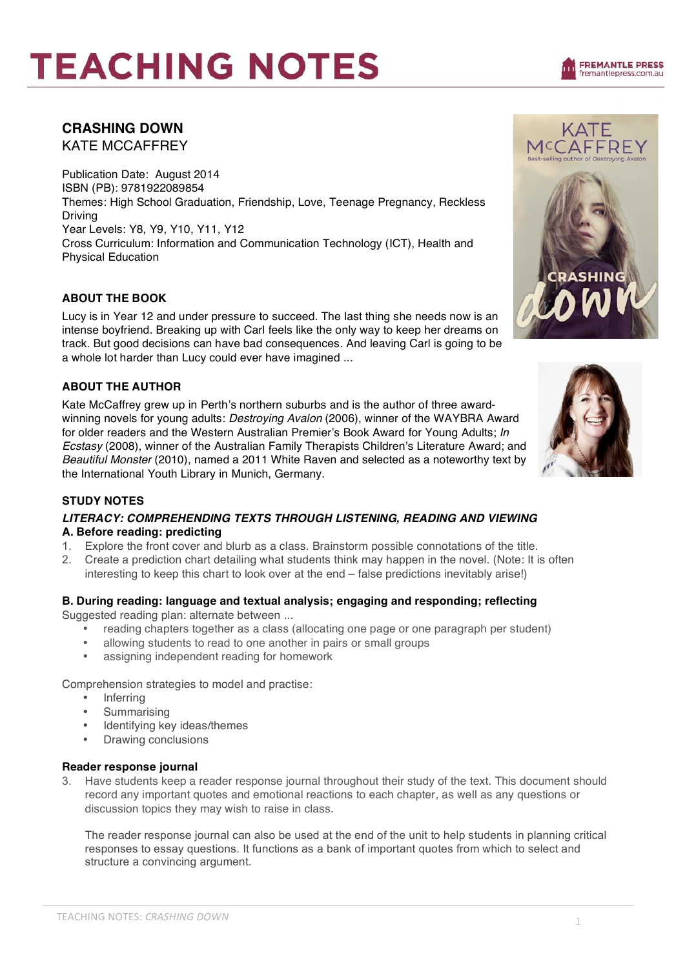# **TEACHING NOTES**



KATE MCCAFFREY

## **CRASHING DOWN**

KATE MCCAFFREY

Publication Date: August 2014 ISBN (PB): 9781922089854 Themes: High School Graduation, Friendship, Love, Teenage Pregnancy, Reckless Driving Year Levels: Y8, Y9, Y10, Y11, Y12 Cross Curriculum: Information and Communication Technology (ICT), Health and Physical Education

## **ABOUT THE BOOK**

Lucy is in Year 12 and under pressure to succeed. The last thing she needs now is an intense boyfriend. Breaking up with Carl feels like the only way to keep her dreams on track. But good decisions can have bad consequences. And leaving Carl is going to be a whole lot harder than Lucy could ever have imagined ...

#### **ABOUT THE AUTHOR**

Kate McCaffrey grew up in Perth's northern suburbs and is the author of three awardwinning novels for young adults: *Destroying Avalon* (2006), winner of the WAYBRA Award for older readers and the Western Australian Premier's Book Award for Young Adults; *In Ecstasy* (2008), winner of the Australian Family Therapists Children's Literature Award; and *Beautiful Monster* (2010), named a 2011 White Raven and selected as a noteworthy text by the International Youth Library in Munich, Germany.



#### **STUDY NOTES**

## *LITERACY: COMPREHENDING TEXTS THROUGH LISTENING, READING AND VIEWING* **A. Before reading: predicting**

- 1. Explore the front cover and blurb as a class. Brainstorm possible connotations of the title.
- 2. Create a prediction chart detailing what students think may happen in the novel. (Note: It is often interesting to keep this chart to look over at the end – false predictions inevitably arise!)

## **B. During reading: language and textual analysis; engaging and responding; reflecting**

Suggested reading plan: alternate between ...

- reading chapters together as a class (allocating one page or one paragraph per student)
- allowing students to read to one another in pairs or small groups
- assigning independent reading for homework

Comprehension strategies to model and practise:

- **Inferring**
- **Summarising**
- Identifying key ideas/themes
- Drawing conclusions

#### **Reader response journal**

3. Have students keep a reader response journal throughout their study of the text. This document should record any important quotes and emotional reactions to each chapter, as well as any questions or discussion topics they may wish to raise in class.

The reader response journal can also be used at the end of the unit to help students in planning critical responses to essay questions. It functions as a bank of important quotes from which to select and structure a convincing argument.

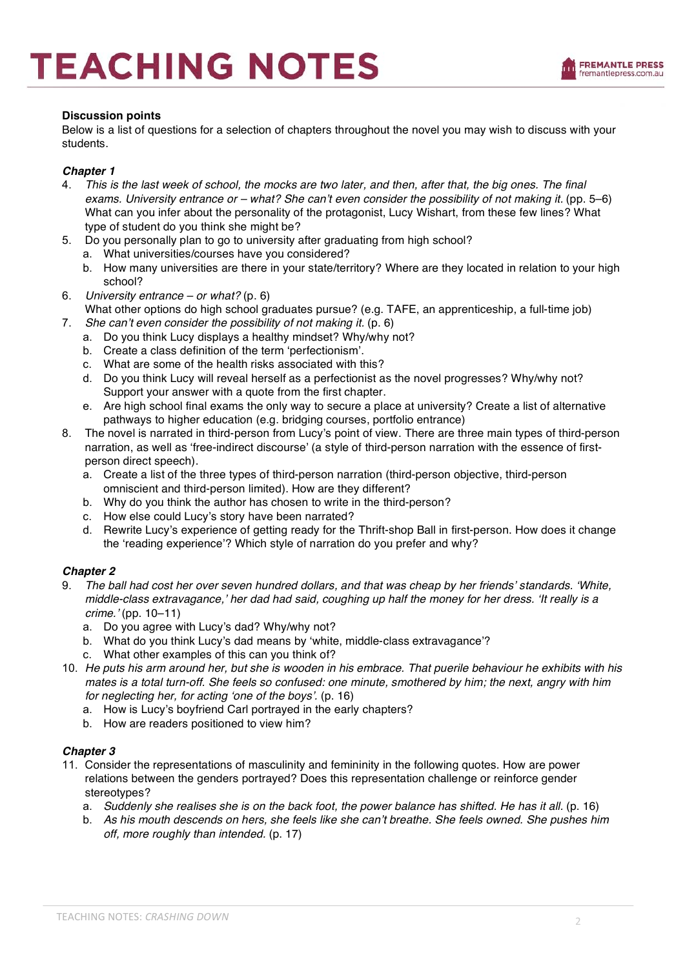## **Discussion points**

Below is a list of questions for a selection of chapters throughout the novel you may wish to discuss with your students.

## *Chapter 1*

- 4. *This is the last week of school, the mocks are two later, and then, after that, the big ones. The final exams. University entrance or – what? She can*'*t even consider the possibility of not making it.* (pp. 5–6) What can you infer about the personality of the protagonist, Lucy Wishart, from these few lines? What type of student do you think she might be?
- 5. Do you personally plan to go to university after graduating from high school?
	- a. What universities/courses have you considered?
		- b. How many universities are there in your state/territory? Where are they located in relation to your high school?
- 6. *University entrance or what?* (p. 6) What other options do high school graduates pursue? (e.g. TAFE, an apprenticeship, a full-time job)
- 7. *She can*'*t even consider the possibility of not making it.* (p. 6)
	- a. Do you think Lucy displays a healthy mindset? Why/why not?
	- b. Create a class definition of the term ʻperfectionism'.
	- c. What are some of the health risks associated with this?
	- d. Do you think Lucy will reveal herself as a perfectionist as the novel progresses? Why/why not? Support your answer with a quote from the first chapter.
	- e. Are high school final exams the only way to secure a place at university? Create a list of alternative pathways to higher education (e.g. bridging courses, portfolio entrance)
- 8. The novel is narrated in third-person from Lucy's point of view. There are three main types of third-person narration, as well as ʻfree-indirect discourse' (a style of third-person narration with the essence of firstperson direct speech).
	- a. Create a list of the three types of third-person narration (third-person objective, third-person omniscient and third-person limited). How are they different?
	- b. Why do you think the author has chosen to write in the third-person?
	- c. How else could Lucy's story have been narrated?
	- d. Rewrite Lucy's experience of getting ready for the Thrift-shop Ball in first-person. How does it change the ʻreading experience'? Which style of narration do you prefer and why?

#### *Chapter 2*

- 9. *The ball had cost her over seven hundred dollars, and that was cheap by her friends*' *standards.* ʻ*White, middle-class extravagance,*' *her dad had said, coughing up half the money for her dress.* ʻ*It really is a crime.*' (pp. 10–11)
	- a. Do you agree with Lucy's dad? Why/why not?
	- b. What do you think Lucy's dad means by ʻwhite, middle-class extravagance'?
	- c. What other examples of this can you think of?
- 10. *He puts his arm around her, but she is wooden in his embrace. That puerile behaviour he exhibits with his mates is a total turn-off. She feels so confused: one minute, smothered by him; the next, angry with him for neglecting her, for acting* ʻ*one of the boys*'*.* (p. 16)
	- a. How is Lucy's boyfriend Carl portrayed in the early chapters?
	- b. How are readers positioned to view him?

#### *Chapter 3*

- 11. Consider the representations of masculinity and femininity in the following quotes. How are power relations between the genders portrayed? Does this representation challenge or reinforce gender stereotypes?
	- a. *Suddenly she realises she is on the back foot, the power balance has shifted. He has it all.* (p. 16)
	- b. *As his mouth descends on hers, she feels like she can*'*t breathe. She feels owned. She pushes him off, more roughly than intended.* (p. 17)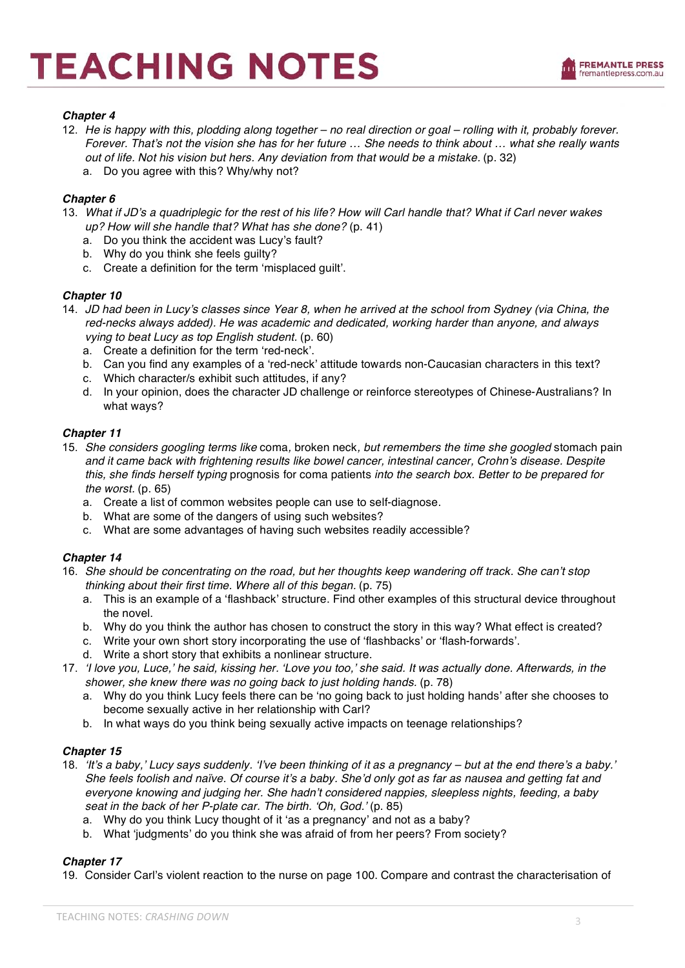

#### *Chapter 4*

- 12. He is happy with this, plodding along together no real direction or goal rolling with it, probably forever. *Forever. That*'*s not the vision she has for her future … She needs to think about … what she really wants out of life. Not his vision but hers. Any deviation from that would be a mistake.* (p. 32)
	- a. Do you agree with this? Why/why not?

### *Chapter 6*

- 13. *What if JD*'*s a quadriplegic for the rest of his life? How will Carl handle that? What if Carl never wakes up? How will she handle that? What has she done?* (p. 41)
	- a. Do you think the accident was Lucy's fault?
	- b. Why do you think she feels guilty?
	- c. Create a definition for the term ʻmisplaced guilt'.

#### *Chapter 10*

- 14. *JD had been in Lucy*'*s classes since Year 8, when he arrived at the school from Sydney (via China, the red-necks always added). He was academic and dedicated, working harder than anyone, and always vying to beat Lucy as top English student.* (p. 60)
	- a. Create a definition for the term ʻred-neck'.
	- b. Can you find any examples of a ʻred-neck' attitude towards non-Caucasian characters in this text?
	- c. Which character/s exhibit such attitudes, if any?
	- d. In your opinion, does the character JD challenge or reinforce stereotypes of Chinese-Australians? In what ways?

#### *Chapter 11*

- 15. *She considers googling terms like* coma*,* broken neck*, but remembers the time she googled* stomach pain *and it came back with frightening results like bowel cancer, intestinal cancer, Crohn*'*s disease. Despite this, she finds herself typing* prognosis for coma patients *into the search box. Better to be prepared for the worst.* (p. 65)
	- a. Create a list of common websites people can use to self-diagnose.
	- b. What are some of the dangers of using such websites?
	- c. What are some advantages of having such websites readily accessible?

#### *Chapter 14*

- 16. *She should be concentrating on the road, but her thoughts keep wandering off track. She can*'*t stop thinking about their first time. Where all of this began.* (p. 75)
	- a. This is an example of a ʻflashback' structure. Find other examples of this structural device throughout the novel.
	- b. Why do you think the author has chosen to construct the story in this way? What effect is created?
	- c. Write your own short story incorporating the use of ʻflashbacks' or ʻflash-forwards'.
	- d. Write a short story that exhibits a nonlinear structure.
- 17. ʻ*I love you, Luce,*' *he said, kissing her.* ʻ*Love you too,*' *she said. It was actually done. Afterwards, in the shower, she knew there was no going back to just holding hands.* (p. 78)
	- a. Why do you think Lucy feels there can be ʻno going back to just holding hands' after she chooses to become sexually active in her relationship with Carl?
	- b. In what ways do you think being sexually active impacts on teenage relationships?

#### *Chapter 15*

- 18. ʻ*It*'*s a baby,*' *Lucy says suddenly.* ʻ*I*'*ve been thinking of it as a pregnancy but at the end there*'*s a baby.*' *She feels foolish and naïve. Of course it*'*s a baby. She*'*d only got as far as nausea and getting fat and everyone knowing and judging her. She hadn*'*t considered nappies, sleepless nights, feeding, a baby seat in the back of her P-plate car. The birth.* ʻ*Oh, God.*' (p. 85)
	- a. Why do you think Lucy thought of it ʻas a pregnancy' and not as a baby?
	- b. What ʻjudgments' do you think she was afraid of from her peers? From society?

#### *Chapter 17*

19. Consider Carl's violent reaction to the nurse on page 100. Compare and contrast the characterisation of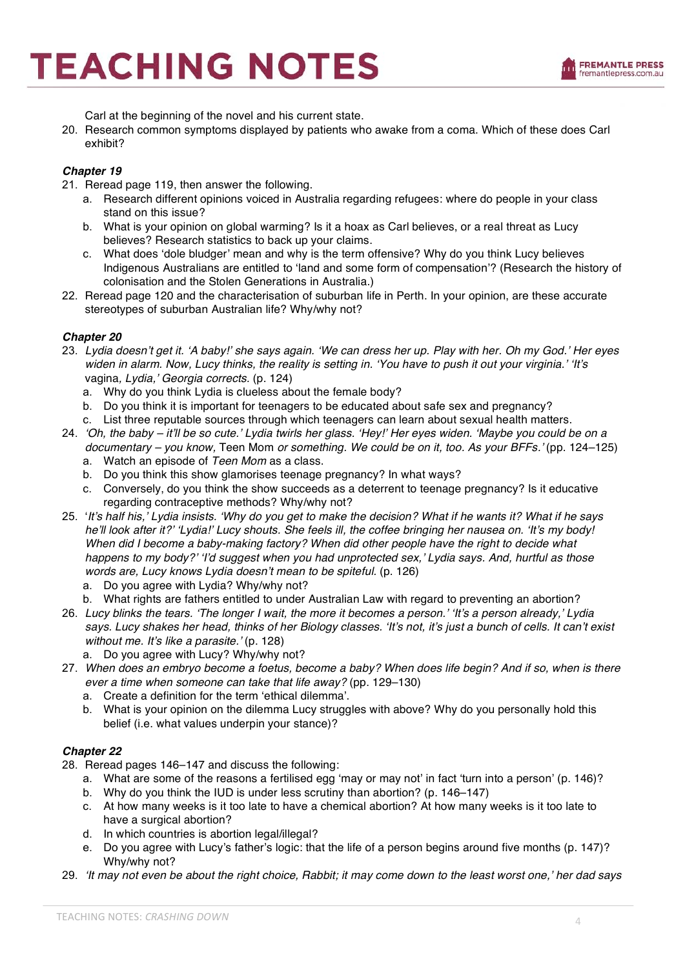

Carl at the beginning of the novel and his current state.

20. Research common symptoms displayed by patients who awake from a coma. Which of these does Carl exhibit?

#### *Chapter 19*

- 21. Reread page 119, then answer the following.
	- a. Research different opinions voiced in Australia regarding refugees: where do people in your class stand on this issue?
	- b. What is your opinion on global warming? Is it a hoax as Carl believes, or a real threat as Lucy believes? Research statistics to back up your claims.
	- c. What does ʻdole bludger' mean and why is the term offensive? Why do you think Lucy believes Indigenous Australians are entitled to ʻland and some form of compensation'? (Research the history of colonisation and the Stolen Generations in Australia.)
- 22. Reread page 120 and the characterisation of suburban life in Perth. In your opinion, are these accurate stereotypes of suburban Australian life? Why/why not?

#### *Chapter 20*

- 23. *Lydia doesn*'*t get it.* ʻ*A baby!*' *she says again.* ʻ*We can dress her up. Play with her. Oh my God.*' *Her eyes widen in alarm. Now, Lucy thinks, the reality is setting in.* ʻ*You have to push it out your virginia.*' ʻ*It*'*s*  vagina*, Lydia,*' *Georgia corrects.* (p. 124)
	- a. Why do you think Lydia is clueless about the female body?
	- b. Do you think it is important for teenagers to be educated about safe sex and pregnancy?
	- c. List three reputable sources through which teenagers can learn about sexual health matters.
- 24. ʻ*Oh, the baby it*'*ll be so cute.*' *Lydia twirls her glass.* ʻ*Hey!*' *Her eyes widen.* ʻ*Maybe you could be on a documentary – you know,* Teen Mom *or something. We could be on it, too. As your BFFs.*' (pp. 124–125)
	- a. Watch an episode of *Teen Mom* as a class.
	- b. Do you think this show glamorises teenage pregnancy? In what ways?
	- c. Conversely, do you think the show succeeds as a deterrent to teenage pregnancy? Is it educative regarding contraceptive methods? Why/why not?
- 25. ʻ*It*'*s half his,*' *Lydia insists.* ʻ*Why do you get to make the decision? What if he wants it? What if he says he*'*ll look after it?*' ʻ*Lydia!*' *Lucy shouts. She feels ill, the coffee bringing her nausea on.* ʻ*It*'*s my body! When did I become a baby-making factory? When did other people have the right to decide what happens to my body?*' ʻ*I*'*d suggest when you had unprotected sex,*' *Lydia says. And, hurtful as those words are, Lucy knows Lydia doesn*'*t mean to be spiteful.* (p. 126)
	- a. Do you agree with Lydia? Why/why not?
	- b. What rights are fathers entitled to under Australian Law with regard to preventing an abortion?
- 26. *Lucy blinks the tears.* ʻ*The longer I wait, the more it becomes a person.*' ʻ*It*'*s a person already,*' *Lydia says. Lucy shakes her head, thinks of her Biology classes.* ʻ*It*'*s not, it*'*s just a bunch of cells. It can*'*t exist without me. It*'*s like a parasite.*' (p. 128)
	- a. Do you agree with Lucy? Why/why not?
- 27. *When does an embryo become a foetus, become a baby? When does life begin? And if so, when is there ever a time when someone can take that life away?* (pp. 129–130)
	- a. Create a definition for the term ʻethical dilemma'.
	- b. What is your opinion on the dilemma Lucy struggles with above? Why do you personally hold this belief (i.e. what values underpin your stance)?

#### *Chapter 22*

28. Reread pages 146–147 and discuss the following:

- a. What are some of the reasons a fertilised egg ʻmay or may not' in fact ʻturn into a person' (p. 146)?
- b. Why do you think the IUD is under less scrutiny than abortion? (p. 146–147)
- c. At how many weeks is it too late to have a chemical abortion? At how many weeks is it too late to have a surgical abortion?
- d. In which countries is abortion legal/illegal?
- e. Do you agree with Lucy's father's logic: that the life of a person begins around five months (p. 147)? Why/why not?
- 29. ʻ*It may not even be about the right choice, Rabbit; it may come down to the least worst one,*' *her dad says*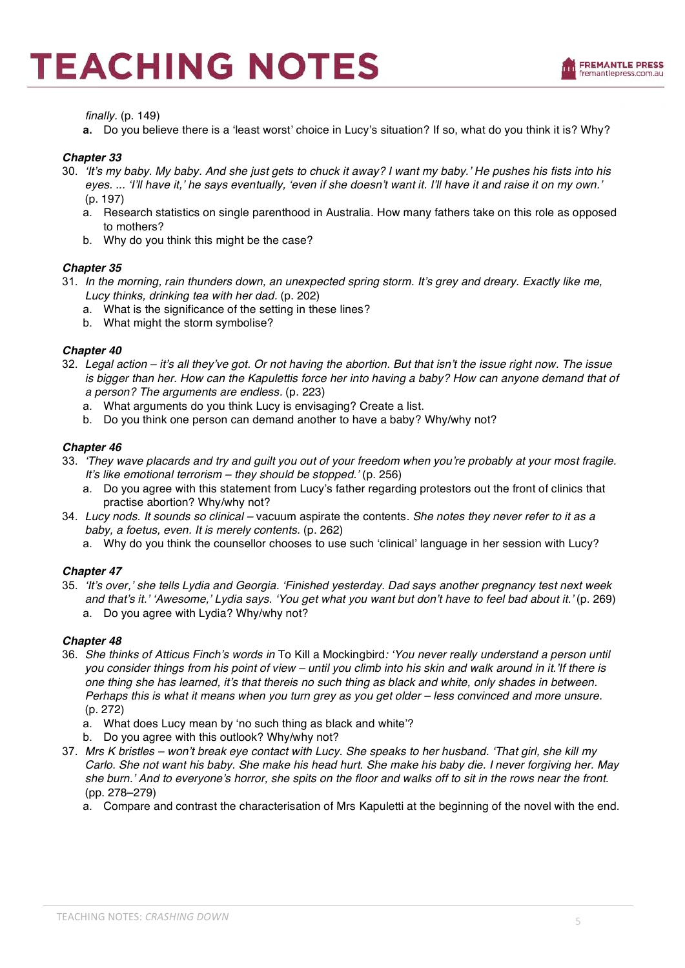*finally.* (p. 149)

**a.** Do you believe there is a ʻleast worst' choice in Lucy's situation? If so, what do you think it is? Why?

#### *Chapter 33*

- 30. ʻ*It*'*s my baby. My baby. And she just gets to chuck it away? I want my baby.*' *He pushes his fists into his eyes. ...* ʻ*I*'*ll have it,*' *he says eventually,* ʻ*even if she doesn*'*t want it. I*'*ll have it and raise it on my own.*' (p. 197)
	- a. Research statistics on single parenthood in Australia. How many fathers take on this role as opposed to mothers?
	- b. Why do you think this might be the case?

#### *Chapter 35*

- 31. *In the morning, rain thunders down, an unexpected spring storm. It*'*s grey and dreary. Exactly like me, Lucy thinks, drinking tea with her dad.* (p. 202)
	- a. What is the significance of the setting in these lines?
	- b. What might the storm symbolise?

#### *Chapter 40*

- 32. *Legal action it*'*s all they*'*ve got. Or not having the abortion. But that isn*'*t the issue right now. The issue is bigger than her. How can the Kapulettis force her into having a baby? How can anyone demand that of a person? The arguments are endless.* (p. 223)
	- a. What arguments do you think Lucy is envisaging? Create a list.
	- b. Do you think one person can demand another to have a baby? Why/why not?

#### *Chapter 46*

- 33. ʻ*They wave placards and try and guilt you out of your freedom when you*'*re probably at your most fragile. It*'*s like emotional terrorism – they should be stopped.*' (p. 256)
	- a. Do you agree with this statement from Lucy's father regarding protestors out the front of clinics that practise abortion? Why/why not?
- 34. *Lucy nods. It sounds so clinical –* vacuum aspirate the contents*. She notes they never refer to it as a baby, a foetus, even. It is merely contents.* (p. 262)
	- a. Why do you think the counsellor chooses to use such ʻclinical' language in her session with Lucy?

#### *Chapter 47*

35. ʻ*It*'*s over,*' *she tells Lydia and Georgia.* ʻ*Finished yesterday. Dad says another pregnancy test next week and that*'*s it.*' ʻ*Awesome,*' *Lydia says.* ʻ*You get what you want but don*'*t have to feel bad about it.*' (p. 269) a. Do you agree with Lydia? Why/why not?

#### *Chapter 48*

- 36. *She thinks of Atticus Finch*'*s words in* To Kill a Mockingbird*:* ʻ*You never really understand a person until you consider things from his point of view – until you climb into his skin and walk around in it.*'*If there is one thing she has learned, it*'*s that thereis no such thing as black and white, only shades in between. Perhaps this is what it means when you turn grey as you get older – less convinced and more unsure.*  (p. 272)
	- a. What does Lucy mean by ʻno such thing as black and white'?
	- b. Do you agree with this outlook? Why/why not?
- 37. *Mrs K bristles won*'*t break eye contact with Lucy. She speaks to her husband.* ʻ*That girl, she kill my Carlo. She not want his baby. She make his head hurt. She make his baby die. I never forgiving her. May she burn.*' *And to everyone*'*s horror, she spits on the floor and walks off to sit in the rows near the front.*  (pp. 278–279)
	- a. Compare and contrast the characterisation of Mrs Kapuletti at the beginning of the novel with the end.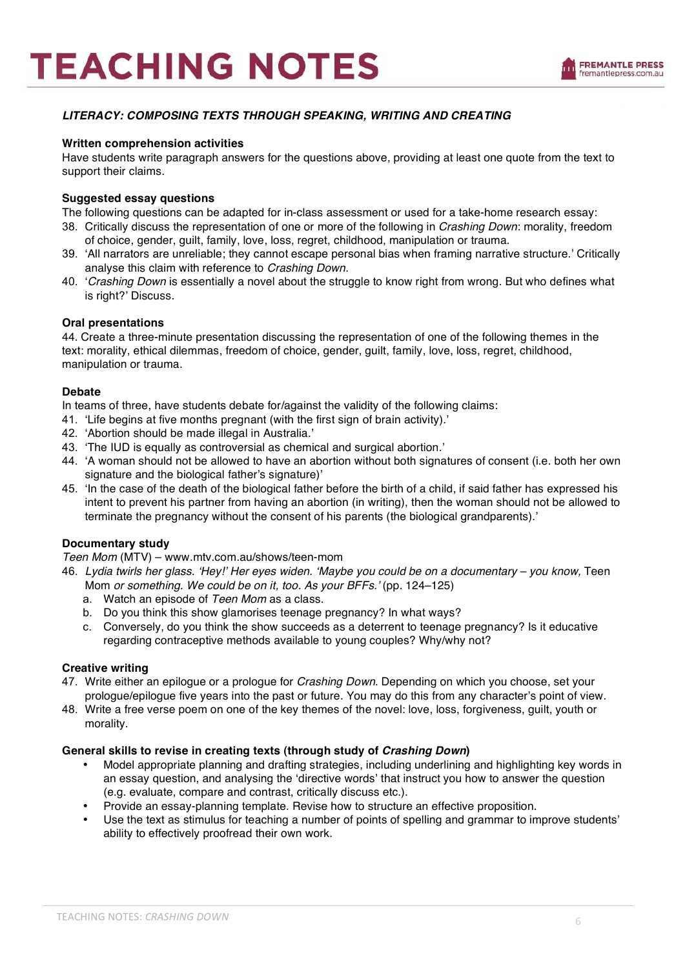## *LITERACY: COMPOSING TEXTS THROUGH SPEAKING, WRITING AND CREATING*

#### **Written comprehension activities**

Have students write paragraph answers for the questions above, providing at least one quote from the text to support their claims.

#### **Suggested essay questions**

The following questions can be adapted for in-class assessment or used for a take-home research essay:

- 38. Critically discuss the representation of one or more of the following in *Crashing Down*: morality, freedom of choice, gender, guilt, family, love, loss, regret, childhood, manipulation or trauma.
- 39. ʻAll narrators are unreliable; they cannot escape personal bias when framing narrative structure.' Critically analyse this claim with reference to *Crashing Down*.
- 40. ʻ*Crashing Down* is essentially a novel about the struggle to know right from wrong. But who defines what is right?' Discuss.

#### **Oral presentations**

44. Create a three-minute presentation discussing the representation of one of the following themes in the text: morality, ethical dilemmas, freedom of choice, gender, guilt, family, love, loss, regret, childhood, manipulation or trauma.

#### **Debate**

In teams of three, have students debate for/against the validity of the following claims:

- 41. ʻLife begins at five months pregnant (with the first sign of brain activity).'
- 42. ʻAbortion should be made illegal in Australia.'
- 43. ʻThe IUD is equally as controversial as chemical and surgical abortion.'
- 44. ʻA woman should not be allowed to have an abortion without both signatures of consent (i.e. both her own signature and the biological father's signature)'
- 45. ʻIn the case of the death of the biological father before the birth of a child, if said father has expressed his intent to prevent his partner from having an abortion (in writing), then the woman should not be allowed to terminate the pregnancy without the consent of his parents (the biological grandparents).'

#### **Documentary study**

*Teen Mom* (MTV) – www.mtv.com.au/shows/teen-mom

- 46. *Lydia twirls her glass.* ʻ*Hey!*' *Her eyes widen.* ʻ*Maybe you could be on a documentary you know,* Teen Mom *or something. We could be on it, too. As your BFFs.*' (pp. 124–125)
	- a. Watch an episode of *Teen Mom* as a class.
	- b. Do you think this show glamorises teenage pregnancy? In what ways?
	- c. Conversely, do you think the show succeeds as a deterrent to teenage pregnancy? Is it educative regarding contraceptive methods available to young couples? Why/why not?

#### **Creative writing**

- 47. Write either an epilogue or a prologue for *Crashing Down*. Depending on which you choose, set your prologue/epilogue five years into the past or future. You may do this from any character's point of view.
- 48. Write a free verse poem on one of the key themes of the novel: love, loss, forgiveness, guilt, youth or morality.

#### **General skills to revise in creating texts (through study of** *Crashing Down***)**

- Model appropriate planning and drafting strategies, including underlining and highlighting key words in an essay question, and analysing the ʻdirective words' that instruct you how to answer the question (e.g. evaluate, compare and contrast, critically discuss etc.).
- Provide an essay-planning template. Revise how to structure an effective proposition.
- Use the text as stimulus for teaching a number of points of spelling and grammar to improve students' ability to effectively proofread their own work.